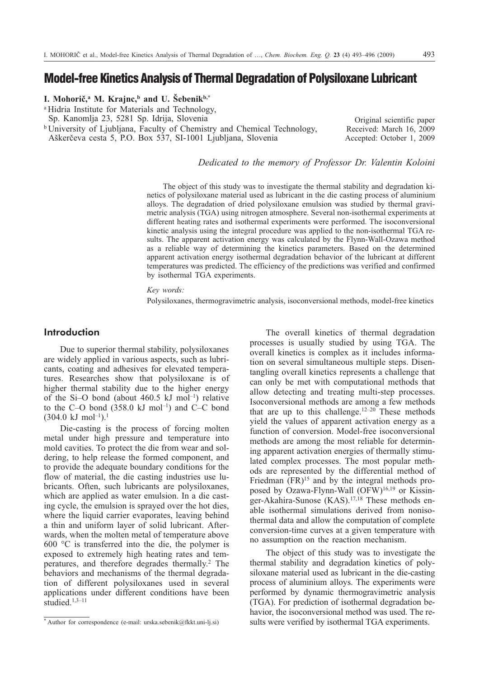# **Model-free Kinetics Analysis of Thermal Degradation of Polysiloxane Lubricant**

### **I. Mohoriè,a M. Krajnc,b and U. Šebenikb,\***

<sup>a</sup> Hidria Institute for Materials and Technology,

Sp. Kanomlja 23, 5281Sp. Idrija, Slovenia

<sup>b</sup> University of Ljubljana, Faculty of Chemistry and Chemical Technology, Aškerèeva cesta 5, P.O. Box 537, SI-1001 Ljubljana, Slovenia

Original scientific paper Received: March 16, 2009 Accepted: October 1, 2009

*Dedicated to the memory of Professor Dr. Valentin Koloini*

The object of this study was to investigate the thermal stability and degradation kinetics of polysiloxane material used as lubricant in the die casting process of aluminium alloys. The degradation of dried polysiloxane emulsion was studied by thermal gravimetric analysis (TGA) using nitrogen atmosphere. Several non-isothermal experiments at different heating rates and isothermal experiments were performed. The isoconversional kinetic analysis using the integral procedure was applied to the non-isothermal TGA results. The apparent activation energy was calculated by the Flynn-Wall-Ozawa method as a reliable way of determining the kinetics parameters. Based on the determined apparent activation energy isothermal degradation behavior of the lubricant at different temperatures was predicted. The efficiency of the predictions was verified and confirmed by isothermal TGA experiments.

*Key words:*

Polysiloxanes, thermogravimetric analysis, isoconversional methods, model-free kinetics

## **Introduction**

Due to superior thermal stability, polysiloxanes are widely applied in various aspects, such as lubricants, coating and adhesives for elevated temperatures. Researches show that polysiloxane is of higher thermal stability due to the higher energy of the Si-O bond (about  $460.5$  kJ mol<sup>-1</sup>) relative to the C–O bond  $(358.0 \text{ kJ mol}^{-1})$  and C–C bond  $(304.0 \text{ kJ mol}^{-1})$ .<sup>1</sup>

Die-casting is the process of forcing molten metal under high pressure and temperature into mold cavities. To protect the die from wear and soldering, to help release the formed component, and to provide the adequate boundary conditions for the flow of material, the die casting industries use lubricants. Often, such lubricants are polysiloxanes, which are applied as water emulsion. In a die casting cycle, the emulsion is sprayed over the hot dies, where the liquid carrier evaporates, leaving behind a thin and uniform layer of solid lubricant. Afterwards, when the molten metal of temperature above 600 °C is transferred into the die, the polymer is exposed to extremely high heating rates and temperatures, and therefore degrades thermally.<sup>2</sup> The behaviors and mechanisms of the thermal degradation of different polysiloxanes used in several applications under different conditions have been studied.1,3–11

The overall kinetics of thermal degradation processes is usually studied by using TGA. The overall kinetics is complex as it includes information on several simultaneous multiple steps. Disentangling overall kinetics represents a challenge that can only be met with computational methods that allow detecting and treating multi-step processes. Isoconversional methods are among a few methods that are up to this challenge.<sup>12–20</sup> These methods yield the values of apparent activation energy as a function of conversion. Model-free isoconversional methods are among the most reliable for determining apparent activation energies of thermally stimulated complex processes. The most popular methods are represented by the differential method of Friedman  $(FR)^{15}$  and by the integral methods proposed by Ozawa-Flynn-Wall (OFW)<sup>16,19</sup> or Kissinger-Akahira-Sunose (KAS).17,18 These methods enable isothermal simulations derived from nonisothermal data and allow the computation of complete conversion-time curves at a given temperature with no assumption on the reaction mechanism.

The object of this study was to investigate the thermal stability and degradation kinetics of polysiloxane material used as lubricant in the die-casting process of aluminium alloys. The experiments were performed by dynamic thermogravimetric analysis (TGA). For prediction of isothermal degradation behavior, the isoconversional method was used. The results were verified by isothermal TGA experiments.

<sup>\*</sup> Author for correspondence (e-mail: urska.sebenik@fkkt.uni-lj.si)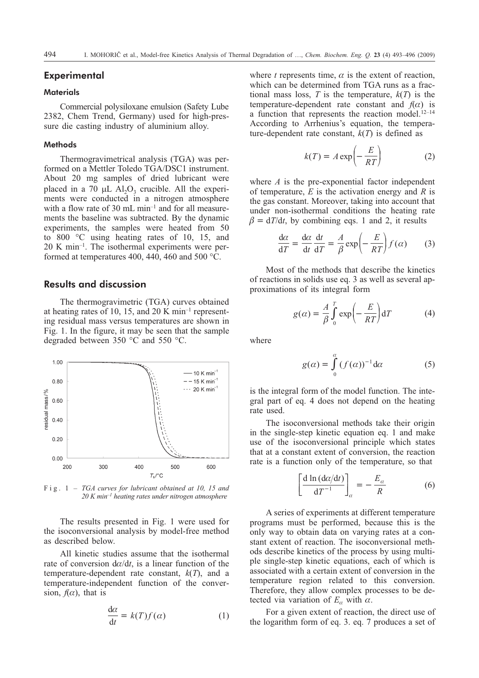### **Experimental**

#### **Materials**

Commercial polysiloxane emulsion (Safety Lube 2382, Chem Trend, Germany) used for high-pressure die casting industry of aluminium alloy.

#### **Methods**

Thermogravimetrical analysis (TGA) was performed on a Mettler Toledo TGA/DSC1 instrument. About 20 mg samples of dried lubricant were placed in a 70  $\mu$ L Al<sub>2</sub>O<sub>3</sub> crucible. All the experiments were conducted in a nitrogen atmosphere with a flow rate of 30 mL min<sup>-1</sup> and for all measurements the baseline was subtracted. By the dynamic experiments, the samples were heated from 50 to 800 °C using heating rates of 10, 15, and 20 K min–1. The isothermal experiments were performed at temperatures 400, 440, 460 and 500 °C.

## **Results and discussion**

The thermogravimetric (TGA) curves obtained at heating rates of 10, 15, and 20 K min<sup>-1</sup> representing residual mass versus temperatures are shown in Fig. 1. In the figure, it may be seen that the sample degraded between 350 °C and 550 °C.



Fig. 1 – *TGA curves for lubricant obtained at 10, 15 and 20 K min–1 heating rates under nitrogen atmosphere*

The results presented in Fig. 1were used for the isoconversional analysis by model-free method as described below.

All kinetic studies assume that the isothermal rate of conversion  $d\alpha/dt$ , is a linear function of the temperature-dependent rate constant, *k*(*T*), and a temperature-independent function of the conversion,  $f(\alpha)$ , that is

$$
\frac{d\alpha}{dt} = k(T)f(\alpha) \tag{1}
$$

where  $t$  represents time,  $\alpha$  is the extent of reaction, which can be determined from TGA runs as a fractional mass loss, *T* is the temperature,  $k(T)$  is the temperature-dependent rate constant and  $f(\alpha)$  is a function that represents the reaction model. $12-14$ According to Arrhenius's equation, the temperature-dependent rate constant,  $k(T)$  is defined as

$$
k(T) = A \exp\left(-\frac{E}{RT}\right) \tag{2}
$$

where *A* is the pre-exponential factor independent of temperature, *E* is the activation energy and *R* is the gas constant. Moreover, taking into account that under non-isothermal conditions the heating rate  $\beta = dT/dt$ , by combining eqs. 1 and 2, it results

$$
\frac{d\alpha}{dT} = \frac{d\alpha}{dt} \frac{dt}{dT} = \frac{A}{\beta} \exp\left(-\frac{E}{RT}\right) f(\alpha) \tag{3}
$$

Most of the methods that describe the kinetics of reactions in solids use eq. 3 as well as several approximations of its integral form

$$
g(\alpha) = \frac{A}{\beta} \int_{0}^{T} \exp\left(-\frac{E}{RT}\right) dT \tag{4}
$$

where

$$
g(\alpha) = \int_{0}^{\alpha} (f(\alpha))^{-1} d\alpha
$$
 (5)

is the integral form of the model function. The integral part of eq. 4 does not depend on the heating rate used.

The isoconversional methods take their origin in the single-step kinetic equation eq. 1and make use of the isoconversional principle which states that at a constant extent of conversion, the reaction rate is a function only of the temperature, so that

$$
\left[\frac{\mathrm{d}\ln\left(\mathrm{d}\alpha/\mathrm{d}t\right)}{\mathrm{d}T^{-1}}\right]_{\alpha} = -\frac{E_{\alpha}}{R} \tag{6}
$$

A series of experiments at different temperature programs must be performed, because this is the only way to obtain data on varying rates at a constant extent of reaction. The isoconversional methods describe kinetics of the process by using multiple single-step kinetic equations, each of which is associated with a certain extent of conversion in the temperature region related to this conversion. Therefore, they allow complex processes to be detected via variation of  $E_{\alpha}$  with  $\alpha$ .

For a given extent of reaction, the direct use of the logarithm form of eq. 3. eq. 7 produces a set of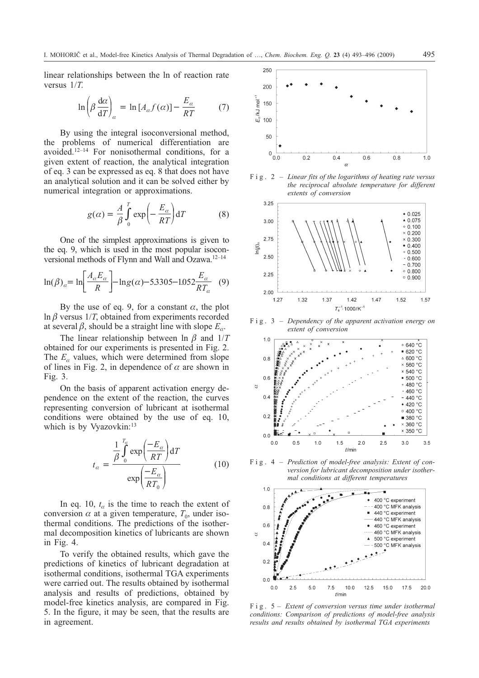linear relationships between the ln of reaction rate versus 1/*T*.

$$
\ln\left(\beta \frac{d\alpha}{dT}\right)_{\alpha} = \ln\left[A_{\alpha}f(\alpha)\right] - \frac{E_{\alpha}}{RT} \tag{7}
$$

By using the integral isoconversional method, the problems of numerical differentiation are avoided.12–14 For nonisothermal conditions, for a given extent of reaction, the analytical integration of eq. 3 can be expressed as eq. 8 that does not have an analytical solution and it can be solved either by numerical integration or approximations.

$$
g(\alpha) = \frac{A}{\beta} \int_{0}^{T} \exp\left(-\frac{E_{\alpha}}{RT}\right) dT \tag{8}
$$

One of the simplest approximations is given to the eq. 9, which is used in the most popular isoconversional methods of Flynn and Wall and Ozawa.12–14

$$
\ln(\beta)_a = \ln \left[ \frac{A_a E_a}{R} \right] - \ln g(\alpha) - 5.3305 - 1.052 \frac{E_a}{RT_a} \tag{9}
$$

By the use of eq. 9, for a constant  $\alpha$ , the plot  $\ln \beta$  versus 1/*T*, obtained from experiments recorded at several  $\beta$ , should be a straight line with slope  $E_{\alpha}$ .

The linear relationship between  $\ln \beta$  and  $1/T$ obtained for our experiments is presented in Fig. 2. The  $E_a$  values, which were determined from slope of lines in Fig. 2, in dependence of  $\alpha$  are shown in Fig. 3.

On the basis of apparent activation energy dependence on the extent of the reaction, the curves representing conversion of lubricant at isothermal conditions were obtained by the use of eq. 10, which is by Vyazovkin:<sup>13</sup>

$$
t_{\alpha} = \frac{\frac{1}{\beta} \int_{0}^{T_{\alpha}} \exp\left(\frac{-E_{\alpha}}{RT}\right) dT}{\exp\left(\frac{-E_{\alpha}}{RT_{0}}\right)}
$$
(10)

In eq. 10,  $t_a$  is the time to reach the extent of conversion  $\alpha$  at a given temperature,  $T_0$ , under isothermal conditions. The predictions of the isothermal decomposition kinetics of lubricants are shown in Fig. 4.

To verify the obtained results, which gave the predictions of kinetics of lubricant degradation at isothermal conditions, isothermal TGA experiments were carried out. The results obtained by isothermal analysis and results of predictions, obtained by model-free kinetics analysis, are compared in Fig. 5. In the figure, it may be seen, that the results are in agreement.



Fig. 2 – *Linear fits of the logarithms of heating rate versus the reciprocal absolute temperature for different extents of conversion*



Fig. 3 – *Dependency of the apparent activation energy on extent of conversion*



Fig. 4 – *Prediction of model-free analysis: Extent of conversion for lubricant decomposition under isothermal conditions at different temperatures*



Fig. 5 – *Extent of conversion versus time under isothermal conditions: Comparison of predictions of model-free analysis results and results obtained by isothermal TGA experiments*